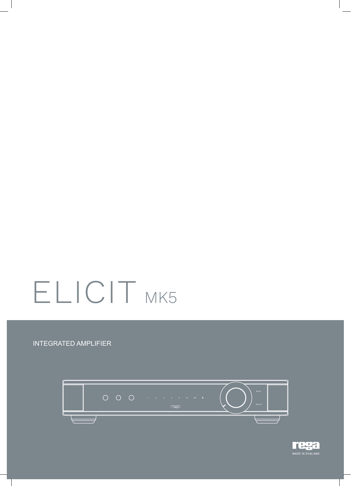# ELICIT MK5

INTEGRATED AMPLIFIER



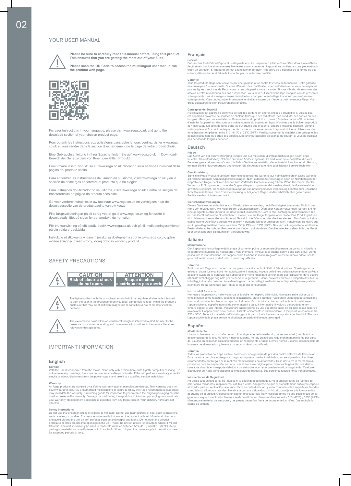### YOUR USER MANUAL



**Please be sure to carefully read this manual before using this product. This ensures that you are getting the most out of your Elicit.**



**Please scan the QR Code to access the multilingual user manual via the product web page.**



For user instructions in your language, please visit www.rega.co.uk and go to the download section of your chosen product page.

Pour obtenir les instructions aux utilisateurs dans votre langue, veuillez visiter www.rega. co.uk et vous rendre dans la section téléchargement de la page de votre produit choisi.

Eine Gebrauchsanleitung in Ihrer Sprache finden Sie auf www.rega.co.uk im Download-Bereich der Seite zu dem von Ihnen gewählten Produkt.

Puoi trovare le istruzioni d'uso su www.rega.co.uk cliccando sulla sezione Download della pagina del prodotto scelto.

Para encontrar las instrucciones de usuario en su idioma, visite www.rega.co.uk y en la sección de descargas encontrará el producto que ha elegido.

Para instruções do utilizador no seu idioma, visite www.rega.co.uk e entre na secção de transferências da página do produto escolhido.

Ga voor verdere instructies in uw taal naar www.rega.co.uk en vervolgens naar de downloadsectie van de productpagina van uw keuze.

Find brugsvejledningen på dit sprog ved at gå til www.rega.co.uk og fortsætte til downloadafsnittet på siden for det produkt, du har valgt.

För bruksanvisning på ditt språk, besök www.rega.co.uk och gå till nedladdningssektionen på din valda produktsida.

Instrukcje użytkowania w danym języku są dostępne na stronie www.rega.co.uk, gdzie można ściągnąć część strony, której dotyczy wybrany produkt.

# SAFETY PRECAUTIONS





The lightning flash with the arrowhead symbol within an equilateral triangle is intended<br>to alert the user to the presence of un-insulated 'dangerous voltage' within the product's<br>enclosure that may be of sufficient magnit persons.

The exclamation point within an equilateral triangle is intended to alert the user to the presence of important operating and maintenance instructions in the service literature relevant to this appliance.

## IMPORTANT INFORMATION

### **English**

### **Service**

With the unit disconnected from the mains, clean only with a micro fibre cloth (lightly damp if necessary). Do not remove any coverings; there are no user serviceable parts inside. If the unit performs erratically or emits smoke or odour, disconnect from the power supply and take it to a qualified service technician.

Warranty<br>All Rega products are covered by a lifetime warranty against manufacture defects. This warranty does not<br>All Rega products are covered by a lifetime warranty against manufacture defects. This warranty does not<br>cov ------<br>your wai<br>offected

Safety Instructions<br>To not use this unit near liquids or expose to moisture. Do not use near sources of heat such as radiators,<br>Do not use this unit near liquids or expose to moisture. Do not use near sources of heat such

### **Français**

### **Service**

Débranchez tout d'abord l'appareil, nettoyez-le ensuite uniquement à l'aide d'un chiffon doux à microfibres<br>(légèrement humide si nécessaire). Ne retirez aucun couvercle ; l'appareil ne contient aucune pièce néces-<br>sitant

Garantie<br>Tous les produits Rega sont couverts par une garantie à vie contre les vices de fabrication. Cette garantie<br>Tous les produits Rega sont couverts par une garantie à vie contre les vices de fabrication. Cette garant votre garantie. Vous pouvez obtenir un nouvel emballage auprès de n'importe quel revendeur Rega. Vos droits statutaires ne s'en trouveront pas affectés.

Consignes de Sécurité<br>
N'utilisez pas de Sécurité<br>
N'utilisez pas de Sécurité<br>
N'utilisez pas de tappareil à proximité de liquides ou dans un endroit exposé à l'humidité. N'utilisez pas<br>
cet appareil à proximité de sources

### **Deutsch**

Pflege<br>Das Gerät von der Stromversorgung trennen und nur mit einem Mikrofasertuch reinigen (leicht ange-<br>feuchtet, falls erforderlich). Nehmen Sie keine Abdeckungen ab. Es sind keine Teile enthalten, die vom<br>Benutzer gewa

Gewährleistung<br>Samtliche Rega-Produkte verfügen über eine lebenslange Garantie auf Fabrikationsfehler. Diese Garantie<br>gilt nicht für normale Abnutzungserscheinungen. Nicht autorisierte Änderungen oder ein Nichtbefolgen der

Sicherheitsamweisungen<br>Chieses Gerät weder in der Nähe von Flüssigkeiten verwenden, noch Feuchtigkeit aussetzen. Nicht in der Nähe von Hitzequellen, wie Heizkörpern, Lüftungsschlitzen, Öfen oder Kerzen verwenden. Sorgen Si

# **Italiano**

### **Manutenzione**

Con l'apparecchio scollegato dalla presa di corrente, pulire usando semplicemente un panno in microfibra (leggermente inumidito se necessario). Non smontare l'involucro: all'interno non vi sono parti a cui l'utente possa fare la manutenzione. Se l'apparecchio funziona in modo irregolare o emette fumo o odore, scolle-gare l'alimentazione e portarlo da un tecnico qualificato.

Garanzia<br>Tutti i prodotti Rega sono coperti da una garanzia a vita contro i difetti di fabbricazione. Questa garanzia<br>esclude l'usura. Le modifiche non autorizzate o il mancato rispetto delle linee guida raccomandate da Re

**Istruzioni di Sicurezza**<br>fono usare l'apparecchio nelle vicinanze di liquidi e non esporto all'umidità. Non usare nelle vicinanze di<br>fonui di calore come radiatori, bocchette di aerazione, stufe o candele. Assicurare un'a

# **Español**

### **Mantenimiento**

Limpiar solamente con un paño de microfibra (ligeramente humedecido, de ser necesario) con la unidad<br>desconectada de la red. No retire ninguna cubierta, no hay piezas que requieran mantenimiento por parte<br>del usuario en el

Garantía<br>cos cos productos de Rega están cubiertos por una garantía de por vida contra defectos de fabricación.<br>Esta garantía no cubre el desgaste. La garantía puede quedar invalidada si no se siguen las directarios<br>esta g

Instrucciones de Seguridad<br>No utilice esta unidad cerca de líquidos ni la exponga a la humedad. No la emplee cerca de fuentes de<br>calor como radiadores, respiraderos, estufas o velas. Asegúrese de que el producto tiene sufi fuente de aliment.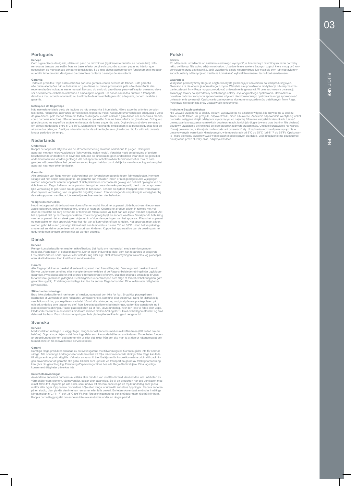# 03

### **Português**

Serviço<br>Com o gira-discos desligado, utilize um pano de microfibras (ligeiramente húmido, se necessário). Não<br>remova as tampas que estão fixas na base inferior do gira-discos; não existem peças no interior que<br>necessitem d

### **Garantia**

Todos os produtos Rega estão cobertos por uma garantia contra defeitos de fabrico. Esta garantia não cobre alterações não autorizadas no gira-discos ou danos provocados pela não observância das<br>recomendações indicadas neste manual. No caso do envio do gira-discos para verificação, o mesmo deve<br>ser devidamente embalado garantia.

Instruções de Segurança<br>Mão use esta unidade perto de líquidos ou não a exponha à humidade. Não o exponha a fontes de calor,<br>Não use esta unidade perto de líquidos ou não a exponha à humidade. Não o exponha a fontes de cal

### **Nederlands**

Onderhous<br>Koppel het apparaat altijd los van de stroomvoorziening alvorens onderhoud te plegen. Reinig het<br>Koppel het apparaat altijd los van de stroomvoorziening alvorens onderhoud te plegen. Reinig het<br>apparaat met een m apparaat naar een erkende dealer.

Garantie<br>Alle producten van Rega worden geleverd met een levenslange garantie tegen fabricagefouten. Normale<br>slijtage valt niet onder deze garantie. De garantie kan vervallen indien er niet-goedgekeurde wijzigingen<br>slijtag

Veiligheidsinstructies<br>
Welligheidsinstructies<br>
Houd het apparaat uit de buurt van vloeistoffen en vocht. Houd het apparaat uit de buurt van hittebronnen<br>
zoals radiatoren, ontluchtingsroosters, ovens of kaarsen. Gebruik h

### **Dansk**

**Service**

Rengør kun pladespilleren med en mikrofiberklud (let fugtig om nødvendigt) med strømforsyningen<br>frakoblet. Fjern ingen af beklædningerne. Der er ingen indvendige dele, som kan repareres af brugeren.<br>Hvis pladespilleren spi

Garanti<br>Alle Rega-produkter er dækket af en levetidsgaranti mod fremstillingsfejl. Denne garanti dækker ikke slid.<br>Enhver uautoriseret ændring eller manglende overholdelse af de Rega-anbefalede retningslinjer ugyldiggør<br>ga

Sikkerhedsanvisninger<br>Brugikkerhedsanvisninger<br>Brugikkerhedsanvisninger i nærheden af væsker, og udsæt den ikke for fugt. Brug ikke pladespilleren i nærheden af varmekilder som radiatorer, ventilationsriste, komfurer eller

### **Svenska**

### **Service**

Med kontakten utdragen ur vägguttaget, rengör endast enheten med en mikrofibertrasa (lätt fuktad om det<br>behövs). Öppna inga höljen – det finns inga delar som kan underhållas av användaren. Om enheten funger-<br>ar oregelbunde

Garanti<br>Samiliga Rega-produkter omfattas av en livstidsgaranti mot tillverkningsfel. Garantin gäller inte för normalt<br>slitage. Alla obehöriga ändringar eller underlåtenhet att följa rekommenderade riktlinjer från Rega kan

Säkerhetsanvisningar<br>Använd inte enheten i närheten av vätska eller där den kan utsättas för fukt. Använd den inte i närheten av<br>värmekällor som element, värmeventiler, spisar eller stearinljus. Se till att produkten har g

# **Polski**

**Serwis** Po odłączeniu urządzenia od zasilania sieciowego wyczyścić je ściereczką z mikrofibry (w razie potrzeby<br>lekko zwiłżoną). Nie wolno zdejmować osłon. Urządzenie nie zawiera żadnych części, które mogą być kon-<br>serwowane przez

Gwarancja<br> carystyckie produkty firmy Rega są objęte wieczystą gwarancją w odniesieniu do wad produkcyjnych.<br> Gwarancja ta nie obejmuje normalnego zużycia. Wszelkie nieupoważnione modyfikacje lub nieprzestrze,<br> ganie zalec Powyższe nie ogranicza praw ustawowych konsumenta.

Instrukcje Bezpieczeństwa<br>Mielużyce Bezpieczeństwa<br>Nie używać urządzenia w pobliżu cieczy i wystawiać go na działanie wilgoci. Nie używać go w pobliżu<br>źródeł ciepła takich, jak grzejniki, odpowietzniki, piece lub świece. Z

ELICIT MK5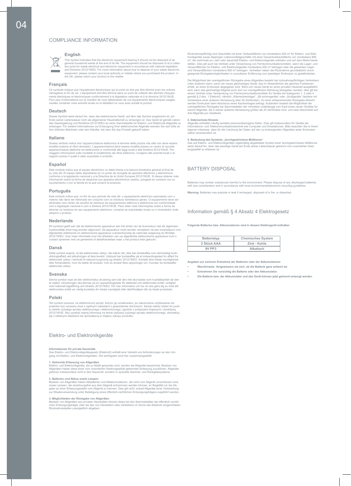### COMPLIANCE INFORMATION

### **English**



This symbol indicates that the electronic equipment bearing it should not be disposed of as<br>general household waste at the end of its life. The equipment should be disposed of at a collec-<br>tion point for waste electrical a

### **Français**

Ce symbole indique que l'équipement électronique qui le porte ne doit pas être éliminé avec les ordures ménagères en fin de vie. L'équipement doit être éliminé dans un point de collecte des déchets d'équipe-<br>ments électriques et électroniques conformément à la législation nationale et à la directive 2012/19/UE.<br>Pour plus d'i

### **Deutsch**

Dieses Symbol weist darauf hin, dass das elektronische Gerät, auf dem das Symbol angebracht ist, am<br>Ende seiner Lebensdauer nicht als allgemeiner Haushaltsmüll zu entsorgen ist. Das Gerät ist gemäß nation-<br>aler Gesetzgebun

### **Italiano**

Questo simbolo indica che l'apparecchiatura elettronica al termine della propria vita utile non deve essere smaltita insieme ai rifiuti domestici. L'apparecchiatura deve essere smaltita presso un centro di raccolta<br>apparecchiature elettriche ed elettroniche in conformità alle leggi locali e alla Direttiva 2012/19/UE. Per<br>maggior negozio presso il quale è stato acquistato il prodotto.

### **Español**

Este símbolo indica que el equipo electrónico no debe tirarse a la basura doméstica general al final de<br>su vida útil. El equipo debe depositarse en un punto de recogida de aparatos eléctricos y electrónicos,<br>conforme a la

### **Português**

Este símbolo indica que, no fim do seu período de vida útil, o equipamento eletrónico assinalado com o mesmo não deve ser eliminado em conjunto com os resíduos domésticos gerais. O equipamento deve ser eliminado num centro de recolha de resíduos de equipamentos elétricos e eletrónicos em conformidade com a legislação nacional e com a Diretiva 2012/19/UE. Para obter mais informações sobre a forma de eliminar os resíduos do seu equipamento eletrónico, contacte as autoridades locais ou o revendedor onde adquiriu o produto.

### **Nederlands**

Dit symbool geeft aan dat de elektronische apparatuur aan het einde van de levensduur niet als algemeen<br>huishoudelijk afval mag worden afgevoerd. De apparatuur moet worden verwijderd via een inzamelpunt voor<br>afgedankte ele

### **Dansk**

Dette symbol angiver, at det elektroniske udstyr, der bærer det, ikke bør bortskaffes som almindeligt hush-<br>oldningsaffald ved afslutningen af dets levetid. Udstyret bør bortskaffes på et indsamlingssted for affald fra<br>ele elektronisk udstyr.

### **Svenska**

Denna symbol visar att den elektroniska utrustning som bär den inte ska kastas som hushållsavfall när den<br>är uttjänt. Utrustningen ska lämnas på en uppsamlingsplats för elektriskt coh elektroniskt avfall i enlighet<br>med nat

### **Polski**

Ten symbol oznacza, że elektroniczny sprzęł, którym go oznakowano, po zakończeniu użytkowania nie<br>powinien być usuwany wraz z ogólnymi odpadami z gospodarstw domowych. Sprzęt należy oddać do punk<br>tu zbiórki zużytego sprzęt

### Elektro- und Elektronikgeräte

# **Informationen für private Haushalte**

Das Elektro- und Elektronikgerätegesetz (ElektroG) enthält eine Vielzahl von Anforderungen an den Um-gang mit Elektro- und Elektronikgeräten. Die wichtigsten sind hier zusammengestellt.

**1. Getrennte Erfassung von Altgeräten**<br>Elektro- und Elektronikgeräte, die zu Abfall geworden sind, werden als Altgeräte bezeichnet. Besitzer von<br>Altgeräten haben diese einer vom unsortierten Siedlungsabfall getrennten Erf

2. Batterien und Akkus sowie Lampen<br>Besitzer von Altgeräten haben Altbatterien und Altakkumulatoren, die nicht vom Altgerät umschlossen sind,<br>sowie Lampen, die zerstörungsfrei aus dem Altgerät entnommen werden können, im R

3. Möglichkeiten der Rückgabe von Altgeräten<br>Besitzer von Altgeräten aus privaten Haushalten können diese bei den Sammelstellen der öffentlich-rechtli-<br>chen Entsorgungsträger oder bei den von Herstellern oder Vertreibern i

Rücknahmepflichtig sind Geschäfte mit einer Verkaufsfläche von mindestens 400 m² für Elektro- und Elek-<br>tronikgeräte sowie diejenigen Lebensmittelgeschäfte mit einer Gesamtverkaufsfläche von mindestens 800<br>m², die mehrmals stellen. Dies gilt auch bei Vertrieb unter Verwendung von Fernkommunikationsmitteln, wenn die Lager- und<br>Versandflächen für Elektro- und Elektronikgeräte mindestens 400 m<sup>3</sup> betragen oder die gesamten Lager-<br>und Versandflä geeignete Rückgabemöglichkeiten in zumutbarer Entfernung zum jeweiligen Endnutzer zu gewährleisten.

Die Möglichkeit der unentgeltlichen Rückgabe eines Altgerätes besteht bei rücknahmepflichtigen Vertreibern<br>unter anderem damn, wenn ein neues gleichartiges Gerat, das im Wesentlichen eine diglichen Funktionen<br>erfüllt, an e

4. Datenschutz-Hinweis<br>Altgeräte enthalten häufig sensible personenbezogene Daten. Dies gilt insbesondere für Geräte der<br>Informations- und Telekommunikationstechnik wie Computer und Smartphones. Bitte beachten Sie in Ihrem

**5. Bedeutung des Symbols "durchgestrichene Mülltonne"**<br>Das auf Elektro- und Elektronikgeräten regelmäßig abgebildete Symbol einer durchgestrichenen Mülltonne<br>weist darauf hin, dass das jeweilige Gerät am Ende seiner Leben

# BATTERY DISPOSAL

Batteries may contain substances harmful to the environment. Please dispose of any discharged batteries with due consideration and in accordance with local environmental/electronic recycling guidelines.

**Warning:** Batteries may explode or leak if recharged, disposed of in fire, or dissected.

### Information gemäß § 4 Absatz 4 Elektrogesetz

**Folgende Batterien bzw. Akkumulatoren sind in diesem Elektrogerät enthalten**

| Batterietyp | <b>Chemisches System</b> |
|-------------|--------------------------|
| 2 Stück AAA | Zink - Kohle             |
| 9V PP3      | Alkalisch                |

**Angaben zur sicheren Entnahme der Batterien oder der Akkumulatoren**

- **• Warnhinweis: Vergewissern sie sich, ob die Batterie ganz entleert ist.**
- **• Entnehmen Sie vorsichtig die Batterie oder den Akkumulator.**
- **• Die Batterie bzw. der Akkumulator und das Gerät können jetzt getrennt entsorgt werden.**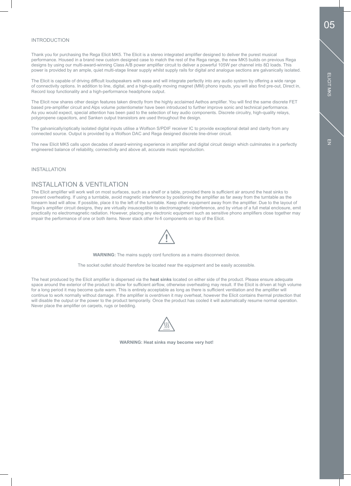# INTRODUCTION

Thank you for purchasing the Rega Elicit MK5. The Elicit is a stereo integrated amplifier designed to deliver the purest musical performance. Housed in a brand new custom designed case to match the rest of the Rega range, the new MK5 builds on previous Rega designs by using our multi-award-winning Class A/B power amplifier circuit to deliver a powerful 105W per channel into 8Ω loads. This power is provided by an ample, quiet multi-stage linear supply whilst supply rails for digital and analogue sections are galvanically isolated.

The Elicit is capable of driving difficult loudspeakers with ease and will integrate perfectly into any audio system by offering a wide range of connectivity options. In addition to line, digital, and a high-quality moving magnet (MM) phono inputs, you will also find pre-out, Direct in, Record loop functionality and a high-performance headphone output.

The Elicit now shares other design features taken directly from the highly acclaimed Aethos amplifier. You will find the same discrete FET based pre-amplifier circuit and Alps volume potentiometer have been introduced to further improve sonic and technical performance. As you would expect, special attention has been paid to the selection of key audio components. Discrete circuitry, high-quality relays, polypropene capacitors, and Sanken output transistors are used throughout the design.

The galvanically/optically isolated digital inputs utilise a Wolfson S/PDIF receiver IC to provide exceptional detail and clarity from any connected source. Output is provided by a Wolfson DAC and Rega designed discrete line-driver circuit.

The new Elicit MK5 calls upon decades of award-winning experience in amplifier and digital circuit design which culminates in a perfectly engineered balance of reliability, connectivity and above all, accurate music reproduction.

# INSTALL ATION

# INSTALLATION & VENTILATION

The Elicit amplifier will work well on most surfaces, such as a shelf or a table, provided there is sufficient air around the heat sinks to prevent overheating. If using a turntable, avoid magnetic interference by positioning the amplifier as far away from the turntable as the tonearm lead will allow. If possible, place it to the left of the turntable. Keep other equipment away from the amplifier. Due to the layout of Rega's amplifier circuit designs, they are virtually insusceptible to electromagnetic interference, and by virtue of a full metal enclosure, emit practically no electromagnetic radiation. However, placing any electronic equipment such as sensitive phono amplifiers close together may impair the performance of one or both items. Never stack other hi-fi components on top of the Elicit.



**WARNING:** The mains supply cord functions as a mains disconnect device.

The socket outlet should therefore be located near the equipment and be easily accessible.

The heat produced by the Elicit amplifier is dispersed via the **heat sinks** located on either side of the product. Please ensure adequate space around the exterior of the product to allow for sufficient airflow, otherwise overheating may result. If the Elicit is driven at high volume for a long period it may become quite warm. This is entirely acceptable as long as there is sufficient ventilation and the amplifier will continue to work normally without damage. If the amplifier is overdriven it may overheat, however the Elicit contains thermal protection that will disable the output or the power to the product temporarily. Once the product has cooled it will automatically resume normal operation. Never place the amplifier on carpets, rugs or bedding.

**WARNING: Heat sinks may become very hot!**

ELICIT MK5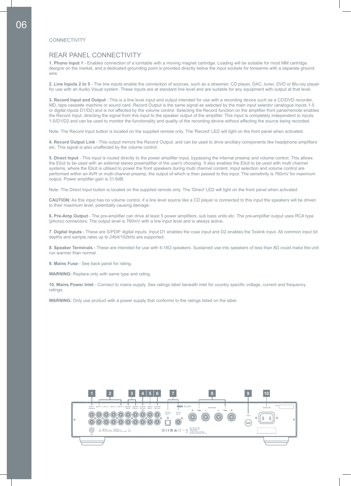# CONNECTIVITY

# REAR PANEL CONNECTIVITY

**1. Phono Input 1** - Enables connection of a turntable with a moving magnet cartridge. Loading will be suitable for most MM cartridge designs on the market, and a dedicated grounding point is provided directly below the input sockets for tonearms with a separate ground wire.

**2. Line Inputs 2 to 5** - The line inputs enable the connection of sources, such as a streamer, CD player, DAC, tuner, DVD or Blu-ray player for use with an Audio Visual system. These inputs are at standard line level and are suitable for any equipment with output at that level.

**3. Record Input and Output** - This is a line level input and output intended for use with a recording device such as a CD/DVD recorder, MD, tape cassette machine or sound card. Record Output is the same signal as selected by the main input selector (analogue inputs 1-5 or digital inputs D1/D2) and is not affected by the volume control. Selecting the Record function on the amplifier front panel/remote enables the Record Input, directing the signal from this input to the speaker output of the amplifier. This input is completely independent to inputs 1-5/D1/D2 and can be used to monitor the functionality and quality of the recording device without affecting the source being recorded.

Note: The Record Input button is located on the supplied remote only. The 'Record' LED will light on the front panel when activated.

**4. Record Output Link** - This output mirrors the Record Output, and can be used to drive ancillary components like headphone amplifiers etc. This signal is also unaffected by the volume control.

**5. Direct Input** - This input is routed directly to the power amplifier input, bypassing the internal preamp and volume control. This allows the Elicit to be used with an external stereo preamplifier of the user's choosing. It also enables the Elicit to be used with multi channel systems, where the Elicit is utilised to power the front speakers during multi channel content. Input selection and volume control are performed within an AVR or multi-channel preamp, the output of which is then passed to this input. The sensitivity is 760mV for maximum output. Power amplifier gain is 31.6dB.

Note: The Direct Input button is located on the supplied remote only. The 'Direct' LED will light on the front panel when activated.

**CAUTION:** As this input has no volume control, if a line level source like a CD player is connected to this input the speakers will be driven to their maximum level, potentially causing damage.

**6. Pre-Amp Output** - The pre-amplifier can drive at least 5 power amplifiers, sub bass units etc. The pre-amplifier output uses RCA type (phono) connectors. The output level is 760mV with a line input level and is always active.

**7. Digital Inputs** - These are S/PDIF digital inputs. Input D1 enables the coax input and D2 enables the Toslink input. All common input bit depths and sample rates up to 24bit/192kHz are supported.

**8. Speaker Terminals** - These are intended for use with 4-16Ω speakers. Sustained use into speakers of less than 8Ω could make the unit run warmer than normal.

**9. Mains Fuse** - See back panel for rating.

**WARNING:** Replace only with same type and rating.

**10. Mains Power Inlet** - Connect to mains supply. See ratings label beneath inlet for country specific voltage, current and frequency ratings.

**WARNING:** Only use product with a power supply that conforms to the ratings listed on the label.

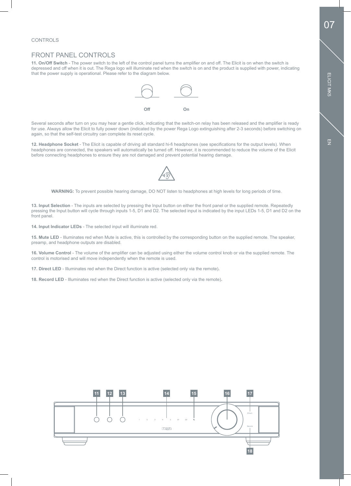# CONTROLS

# FRONT PANEL CONTROLS

**11. On/Off Switch** - The power switch to the left of the control panel turns the amplifier on and off. The Elicit is on when the switch is depressed and off when it is out. The Rega logo will illuminate red when the switch is on and the product is supplied with power, indicating that the power supply is operational. Please refer to the diagram below.



Several seconds after turn on you may hear a gentle click, indicating that the switch-on relay has been released and the amplifier is ready for use. Always allow the Elicit to fully power down (indicated by the power Rega Logo extinguishing after 2-3 seconds) before switching on again, so that the self-test circuitry can complete its reset cycle.

**12. Headphone Socket** - The Elicit is capable of driving all standard hi-fi headphones (see specifications for the output levels). When headphones are connected, the speakers will automatically be turned off. However, it is recommended to reduce the volume of the Elicit before connecting headphones to ensure they are not damaged and prevent potential hearing damage.



**WARNING:** To prevent possible hearing damage, DO NOT listen to headphones at high levels for long periods of time.

**13. Input Selection** - The inputs are selected by pressing the Input button on either the front panel or the supplied remote. Repeatedly pressing the Input button will cycle through inputs 1-5, D1 and D2. The selected input is indicated by the input LEDs 1-5, D1 and D2 on the front panel.

**14. Input Indicator LEDs** - The selected input will illuminate red.

**15. Mute LED** - Illuminates red when Mute is active, this is controlled by the corresponding button on the supplied remote. The speaker, preamp, and headphone outputs are disabled.

**16. Volume Control** - The volume of the amplifier can be adjusted using either the volume control knob or via the supplied remote. The control is motorised and will move independently when the remote is used.

**17. Direct LED** - Illuminates red when the Direct function is active (selected only via the remote)**.**

**18. Record LED** - Illuminates red when the Direct function is active (selected only via the remote)**.**



07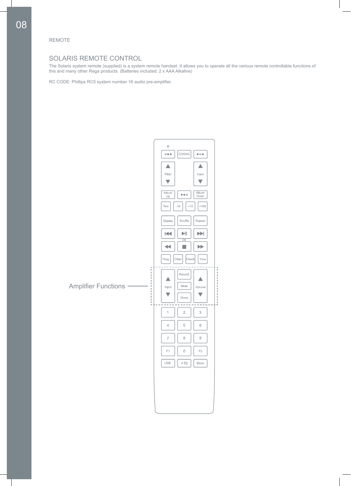# REMOTE

# SOLARIS REMOTE CONTROL

The Solaris system remote (supplied) is a system remote handset. It allows you to operate all the various remote controllable functions of this and many other Rega products. (Batteries included: 2 x AAA Alkaline)

RC CODE: Phillips RC5 system number 16 audio pre-amplifier.

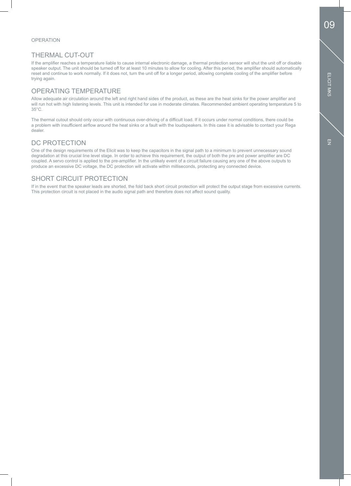# THERMAL CUT-OUT

If the amplifier reaches a temperature liable to cause internal electronic damage, a thermal protection sensor will shut the unit off or disable speaker output. The unit should be turned off for at least 10 minutes to allow for cooling. After this period, the amplifier should automatically reset and continue to work normally. If it does not, turn the unit off for a longer period, allowing complete cooling of the amplifier before trying again.

# OPERATING TEMPERATURE

Allow adequate air circulation around the left and right hand sides of the product, as these are the heat sinks for the power amplifier and will run hot with high listening levels. This unit is intended for use in moderate climates. Recommended ambient operating temperature 5 to  $35^{\circ}$ C.

The thermal cutout should only occur with continuous over-driving of a difficult load. If it occurs under normal conditions, there could be a problem with insufficient airflow around the heat sinks or a fault with the loudspeakers. In this case it is advisable to contact your Rega dealer.

# DC PROTECTION

One of the design requirements of the Elicit was to keep the capacitors in the signal path to a minimum to prevent unnecessary sound degradation at this crucial line level stage. In order to achieve this requirement, the output of both the pre and power amplifier are DC coupled. A servo control is applied to the pre-amplifier. In the unlikely event of a circuit failure causing any one of the above outputs to produce an excessive DC voltage, the DC protection will activate within milliseconds, protecting any connected device.

# SHORT CIRCUIT PROTECTION

If in the event that the speaker leads are shorted, the fold back short circuit protection will protect the output stage from excessive currents. This protection circuit is not placed in the audio signal path and therefore does not affect sound quality.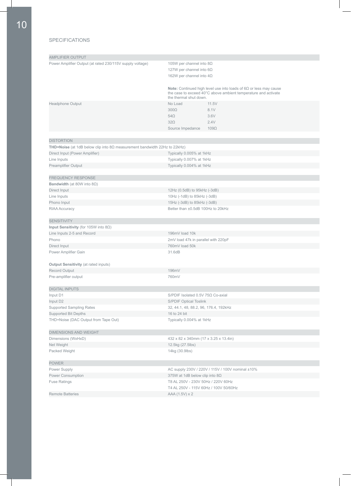# SPECIFICATIONS

| <b>AMPLIFIER OUTPUT</b>                                                          |                                                                                                                                                   |             |  |
|----------------------------------------------------------------------------------|---------------------------------------------------------------------------------------------------------------------------------------------------|-------------|--|
| Power Amplifier Output (at rated 230/115V supply voltage)                        | 105W per channel into $8\Omega$                                                                                                                   |             |  |
|                                                                                  | 127W per channel into $6\Omega$                                                                                                                   |             |  |
|                                                                                  | 162W per channel into $4\Omega$                                                                                                                   |             |  |
|                                                                                  | <b>Note:</b> Continued high level use into loads of $6\Omega$ or less may cause<br>the case to exceed 40°C above ambient temperature and activate |             |  |
|                                                                                  | the thermal shut down.                                                                                                                            |             |  |
| Headphone Output                                                                 | No Load                                                                                                                                           | 11.5V       |  |
|                                                                                  | $300\Omega$                                                                                                                                       | 8.1V        |  |
|                                                                                  | $54\Omega$                                                                                                                                        | 3.6V        |  |
|                                                                                  | 32 <omega< td=""><td>2.4V</td></omega<>                                                                                                           | 2.4V        |  |
|                                                                                  | Source Impedance                                                                                                                                  | $109\Omega$ |  |
| <b>DISTORTION</b>                                                                |                                                                                                                                                   |             |  |
| THD+Noise (at 1dB below clip into $8\Omega$ measurement bandwidth 22Hz to 22kHz) |                                                                                                                                                   |             |  |
| Direct Input (Power Amplifier)                                                   | Typically 0.005% at 1kHz                                                                                                                          |             |  |
| Line Inputs                                                                      | Typically 0.007% at 1kHz                                                                                                                          |             |  |
| Preamplifier Output                                                              | Typically 0.004% at 1kHz                                                                                                                          |             |  |
|                                                                                  |                                                                                                                                                   |             |  |
| <b>FREQUENCY RESPONSE</b>                                                        |                                                                                                                                                   |             |  |
| <b>Bandwidth</b> (at 80W into $8\Omega$ )                                        |                                                                                                                                                   |             |  |
| Direct Input                                                                     | 12Hz (0.5dB) to 95kHz (-3dB)                                                                                                                      |             |  |
| Line Inputs                                                                      | $10Hz$ (-1dB) to 85kHz (-3dB)                                                                                                                     |             |  |
| Phono Input                                                                      | $15Hz$ (-3dB) to 85kHz (-3dB)                                                                                                                     |             |  |
| <b>RIAA Accuracy</b>                                                             | Better than ±0.5dB 100Hz to 20kHz                                                                                                                 |             |  |
| <b>SENSITIVITY</b>                                                               |                                                                                                                                                   |             |  |
| Input Sensitivity (for 105W into 8Ω)                                             |                                                                                                                                                   |             |  |
| Line Inputs 2-5 and Record                                                       | 196mV load 10k                                                                                                                                    |             |  |
| Phono                                                                            | 2mV load 47k in parallel with 220pF                                                                                                               |             |  |
| Direct Input                                                                     | 760mV load 50k                                                                                                                                    |             |  |
| Power Amplifier Gain                                                             | 31.6dB                                                                                                                                            |             |  |
| <b>Output Sensitivity</b> (at rated inputs)                                      |                                                                                                                                                   |             |  |
| <b>Record Output</b>                                                             | 196mV                                                                                                                                             |             |  |
| Pre-amplifier output                                                             | 760mV                                                                                                                                             |             |  |
|                                                                                  |                                                                                                                                                   |             |  |
| <b>DIGITAL INPUTS</b>                                                            |                                                                                                                                                   |             |  |
| Input D1                                                                         | S/PDIF Isolated 0.5V 75Ω Co-axial                                                                                                                 |             |  |
| Input D <sub>2</sub>                                                             | S/PDIF Optical Toslink                                                                                                                            |             |  |
| <b>Supported Sampling Rates</b>                                                  | 32, 44.1, 48, 88.2, 96, 176.4, 192kHz                                                                                                             |             |  |
| <b>Supported Bit Depths</b>                                                      | 16 to 24 bit                                                                                                                                      |             |  |
| THD+Noise (DAC Output from Tape Out)                                             | Typically 0.004% at 1kHz                                                                                                                          |             |  |
| <b>DIMENSIONS AND WEIGHT</b>                                                     |                                                                                                                                                   |             |  |
| Dimensions (WxHxD)                                                               | 432 x 82 x 340mm (17 x 3.25 x 13.4in)                                                                                                             |             |  |
| Net Weight                                                                       | 12.5kg (27.5lbs)                                                                                                                                  |             |  |
| Packed Weight                                                                    | 14kg (30.9lbs)                                                                                                                                    |             |  |
| <b>POWER</b>                                                                     |                                                                                                                                                   |             |  |
| Power Supply                                                                     | AC supply 230V / 220V / 115V / 100V nominal ±10%                                                                                                  |             |  |
| Power Consumption                                                                | 375W at 1dB below clip into $8\Omega$                                                                                                             |             |  |
| <b>Fuse Ratings</b>                                                              | T8 AL 250V - 230V 50Hz / 220V 60Hz                                                                                                                |             |  |
|                                                                                  | T4 AL 250V - 115V 60Hz / 100V 50/60Hz                                                                                                             |             |  |
| <b>Remote Batteries</b>                                                          | AAA (1.5V) x 2                                                                                                                                    |             |  |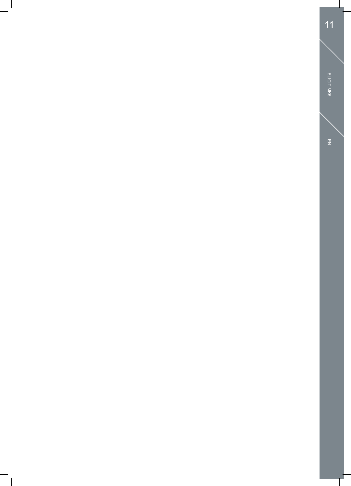11ELICIT MK5  $\overline{z}$ 

 $\begin{array}{c} \hline \end{array}$ 

EN ELICIT MK5